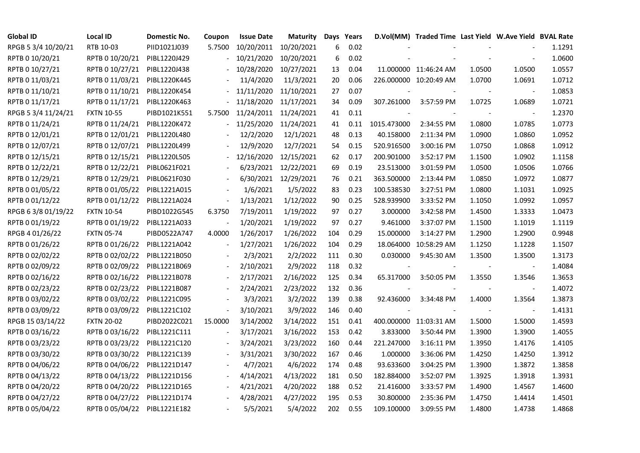| <b>Global ID</b>    | Local ID          | Domestic No. | Coupon                   | <b>Issue Date</b> | Maturity             | Days | Years |                          | D.Vol(MM) Traded Time Last Yield W.Ave Yield BVAL Rate |                                |                |        |
|---------------------|-------------------|--------------|--------------------------|-------------------|----------------------|------|-------|--------------------------|--------------------------------------------------------|--------------------------------|----------------|--------|
| RPGB 5 3/4 10/20/21 | RTB 10-03         | PIID1021J039 | 5.7500                   | 10/20/2011        | 10/20/2021           | 6    | 0.02  |                          |                                                        |                                |                | 1.1291 |
| RPTB 0 10/20/21     | RPTB 0 10/20/21   | PIBL1220J429 |                          | 10/21/2020        | 10/20/2021           | 6    | 0.02  |                          |                                                        |                                |                | 1.0600 |
| RPTB 0 10/27/21     | RPTB 0 10/27/21   | PIBL1220J438 |                          | 10/28/2020        | 10/27/2021           | 13   | 0.04  |                          | 11.000000 11:46:24 AM                                  | 1.0500                         | 1.0500         | 1.0557 |
| RPTB 0 11/03/21     | RPTB 0 11/03/21   | PIBL1220K445 |                          | 11/4/2020         | 11/3/2021            | 20   | 0.06  |                          | 226.000000 10:20:49 AM                                 | 1.0700                         | 1.0691         | 1.0712 |
| RPTB 0 11/10/21     | RPTB 0 11/10/21   | PIBL1220K454 |                          | 11/11/2020        | 11/10/2021           | 27   | 0.07  |                          |                                                        |                                |                | 1.0853 |
| RPTB 0 11/17/21     | RPTB 0 11/17/21   | PIBL1220K463 |                          | 11/18/2020        | 11/17/2021           | 34   | 0.09  | 307.261000               | 3:57:59 PM                                             | 1.0725                         | 1.0689         | 1.0721 |
| RPGB 5 3/4 11/24/21 | <b>FXTN 10-55</b> | PIBD1021K551 | 5.7500                   | 11/24/2011        | 11/24/2021           | 41   | 0.11  |                          |                                                        |                                | $\sim$         | 1.2370 |
| RPTB 0 11/24/21     | RPTB 0 11/24/21   | PIBL1220K472 |                          | 11/25/2020        | 11/24/2021           | 41   | 0.11  | 1015.473000              | 2:34:55 PM                                             | 1.0800                         | 1.0785         | 1.0773 |
| RPTB 0 12/01/21     | RPTB 0 12/01/21   | PIBL1220L480 |                          | 12/2/2020         | 12/1/2021            | 48   | 0.13  | 40.158000                | 2:11:34 PM                                             | 1.0900                         | 1.0860         | 1.0952 |
| RPTB 0 12/07/21     | RPTB 0 12/07/21   | PIBL1220L499 |                          | 12/9/2020         | 12/7/2021            | 54   | 0.15  | 520.916500               | 3:00:16 PM                                             | 1.0750                         | 1.0868         | 1.0912 |
| RPTB 0 12/15/21     | RPTB 0 12/15/21   | PIBL1220L505 |                          | 12/16/2020        | 12/15/2021           | 62   | 0.17  | 200.901000               | 3:52:17 PM                                             | 1.1500                         | 1.0902         | 1.1158 |
| RPTB 0 12/22/21     | RPTB 0 12/22/21   | PIBL0621F021 |                          | 6/23/2021         | 12/22/2021           | 69   | 0.19  | 23.513000                | 3:01:59 PM                                             | 1.0500                         | 1.0506         | 1.0766 |
| RPTB 0 12/29/21     | RPTB 0 12/29/21   | PIBL0621F030 |                          |                   | 6/30/2021 12/29/2021 | 76   | 0.21  | 363.500000               | 2:13:44 PM                                             | 1.0850                         | 1.0972         | 1.0877 |
| RPTB 0 01/05/22     | RPTB 0 01/05/22   | PIBL1221A015 |                          | 1/6/2021          | 1/5/2022             | 83   | 0.23  | 100.538530               | 3:27:51 PM                                             | 1.0800                         | 1.1031         | 1.0925 |
| RPTB 0 01/12/22     | RPTB 0 01/12/22   | PIBL1221A024 | $\overline{\phantom{a}}$ | 1/13/2021         | 1/12/2022            | 90   | 0.25  | 528.939900               | 3:33:52 PM                                             | 1.1050                         | 1.0992         | 1.0957 |
| RPGB 63/8 01/19/22  | <b>FXTN 10-54</b> | PIBD1022G545 | 6.3750                   | 7/19/2011         | 1/19/2022            | 97   | 0.27  | 3.000000                 | 3:42:58 PM                                             | 1.4500                         | 1.3333         | 1.0473 |
| RPTB 0 01/19/22     | RPTB 0 01/19/22   | PIBL1221A033 |                          | 1/20/2021         | 1/19/2022            | 97   | 0.27  | 9.461000                 | 3:37:07 PM                                             | 1.1500                         | 1.1019         | 1.1119 |
| RPGB 4 01/26/22     | <b>FXTN 05-74</b> | PIBD0522A747 | 4.0000                   | 1/26/2017         | 1/26/2022            | 104  | 0.29  | 15.000000                | 3:14:27 PM                                             | 1.2900                         | 1.2900         | 0.9948 |
| RPTB 0 01/26/22     | RPTB 0 01/26/22   | PIBL1221A042 | $\blacksquare$           | 1/27/2021         | 1/26/2022            | 104  | 0.29  |                          | 18.064000 10:58:29 AM                                  | 1.1250                         | 1.1228         | 1.1507 |
| RPTB 0 02/02/22     | RPTB 0 02/02/22   | PIBL1221B050 |                          | 2/3/2021          | 2/2/2022             | 111  | 0.30  | 0.030000                 | 9:45:30 AM                                             | 1.3500                         | 1.3500         | 1.3173 |
| RPTB 0 02/09/22     | RPTB 0 02/09/22   | PIBL1221B069 | $\blacksquare$           | 2/10/2021         | 2/9/2022             | 118  | 0.32  | $\overline{\phantom{a}}$ |                                                        | $\left\vert \cdot \right\vert$ | $\blacksquare$ | 1.4084 |
| RPTB 0 02/16/22     | RPTB 0 02/16/22   | PIBL1221B078 |                          | 2/17/2021         | 2/16/2022            | 125  | 0.34  | 65.317000                | 3:50:05 PM                                             | 1.3550                         | 1.3546         | 1.3653 |
| RPTB 0 02/23/22     | RPTB 0 02/23/22   | PIBL1221B087 |                          | 2/24/2021         | 2/23/2022            | 132  | 0.36  |                          |                                                        |                                |                | 1.4072 |
| RPTB 0 03/02/22     | RPTB 0 03/02/22   | PIBL1221C095 |                          | 3/3/2021          | 3/2/2022             | 139  | 0.38  | 92.436000                | 3:34:48 PM                                             | 1.4000                         | 1.3564         | 1.3873 |
| RPTB 0 03/09/22     | RPTB 0 03/09/22   | PIBL1221C102 | $\overline{\phantom{a}}$ | 3/10/2021         | 3/9/2022             | 146  | 0.40  |                          |                                                        |                                |                | 1.4131 |
| RPGB 15 03/14/22    | <b>FXTN 20-02</b> | PIBD2022C021 | 15.0000                  | 3/14/2002         | 3/14/2022            | 151  | 0.41  |                          | 400.000000 11:03:31 AM                                 | 1.5000                         | 1.5000         | 1.4593 |
| RPTB 0 03/16/22     | RPTB 0 03/16/22   | PIBL1221C111 |                          | 3/17/2021         | 3/16/2022            | 153  | 0.42  | 3.833000                 | 3:50:44 PM                                             | 1.3900                         | 1.3900         | 1.4055 |
| RPTB 0 03/23/22     | RPTB 0 03/23/22   | PIBL1221C120 |                          | 3/24/2021         | 3/23/2022            | 160  | 0.44  | 221.247000               | 3:16:11 PM                                             | 1.3950                         | 1.4176         | 1.4105 |
| RPTB 0 03/30/22     | RPTB 0 03/30/22   | PIBL1221C139 |                          | 3/31/2021         | 3/30/2022            | 167  | 0.46  | 1.000000                 | 3:36:06 PM                                             | 1.4250                         | 1.4250         | 1.3912 |
| RPTB 0 04/06/22     | RPTB 0 04/06/22   | PIBL1221D147 |                          | 4/7/2021          | 4/6/2022             | 174  | 0.48  | 93.633600                | 3:04:25 PM                                             | 1.3900                         | 1.3872         | 1.3858 |
| RPTB 0 04/13/22     | RPTB 0 04/13/22   | PIBL1221D156 |                          | 4/14/2021         | 4/13/2022            | 181  | 0.50  | 182.884000               | 3:52:07 PM                                             | 1.3925                         | 1.3918         | 1.3931 |
| RPTB 0 04/20/22     | RPTB 0 04/20/22   | PIBL1221D165 |                          | 4/21/2021         | 4/20/2022            | 188  | 0.52  | 21.416000                | 3:33:57 PM                                             | 1.4900                         | 1.4567         | 1.4600 |
| RPTB 0 04/27/22     | RPTB 0 04/27/22   | PIBL1221D174 |                          | 4/28/2021         | 4/27/2022            | 195  | 0.53  | 30.800000                | 2:35:36 PM                                             | 1.4750                         | 1.4414         | 1.4501 |
| RPTB 0 05/04/22     | RPTB 0 05/04/22   | PIBL1221E182 |                          | 5/5/2021          | 5/4/2022             | 202  | 0.55  | 109.100000               | 3:09:55 PM                                             | 1.4800                         | 1.4738         | 1.4868 |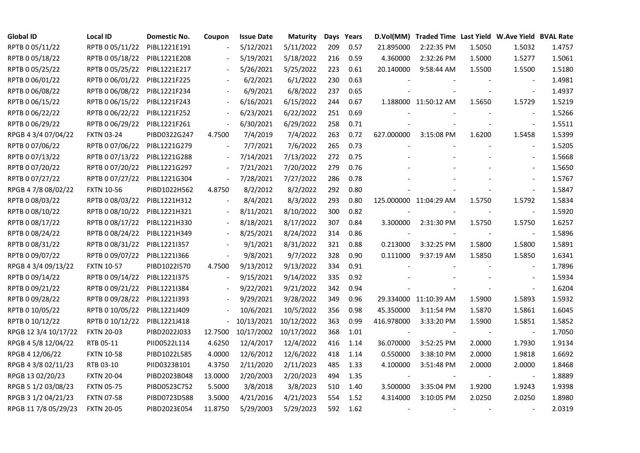| <b>Global ID</b>     | <b>Local ID</b>   | Domestic No. | Coupon                   | <b>Issue Date</b> | <b>Maturity</b>       |     | Days Years |                          | D.Vol(MM) Traded Time Last Yield W.Ave Yield BVAL Rate |        |                          |        |
|----------------------|-------------------|--------------|--------------------------|-------------------|-----------------------|-----|------------|--------------------------|--------------------------------------------------------|--------|--------------------------|--------|
| RPTB 0 05/11/22      | RPTB 0 05/11/22   | PIBL1221E191 |                          | 5/12/2021         | 5/11/2022             | 209 | 0.57       | 21.895000                | 2:22:35 PM                                             | 1.5050 | 1.5032                   | 1.4757 |
| RPTB 0 05/18/22      | RPTB 0 05/18/22   | PIBL1221E208 |                          | 5/19/2021         | 5/18/2022             | 216 | 0.59       | 4.360000                 | 2:32:26 PM                                             | 1.5000 | 1.5277                   | 1.5061 |
| RPTB 0 05/25/22      | RPTB 0 05/25/22   | PIBL1221E217 | $\overline{\phantom{a}}$ | 5/26/2021         | 5/25/2022             | 223 | 0.61       | 20.140000                | 9:58:44 AM                                             | 1.5500 | 1.5500                   | 1.5180 |
| RPTB 0 06/01/22      | RPTB 0 06/01/22   | PIBL1221F225 | $\blacksquare$           | 6/2/2021          | 6/1/2022              | 230 | 0.63       |                          |                                                        |        |                          | 1.4981 |
| RPTB 0 06/08/22      | RPTB 0 06/08/22   | PIBL1221F234 |                          | 6/9/2021          | 6/8/2022              | 237 | 0.65       |                          |                                                        |        | $\blacksquare$           | 1.4937 |
| RPTB 0 06/15/22      | RPTB 0 06/15/22   | PIBL1221F243 | $\blacksquare$           | 6/16/2021         | 6/15/2022             | 244 | 0.67       |                          | 1.188000 11:50:12 AM                                   | 1.5650 | 1.5729                   | 1.5219 |
| RPTB 0 06/22/22      | RPTB 0 06/22/22   | PIBL1221F252 | $\blacksquare$           | 6/23/2021         | 6/22/2022             | 251 | 0.69       |                          |                                                        |        | $\blacksquare$           | 1.5266 |
| RPTB 0 06/29/22      | RPTB 0 06/29/22   | PIBL1221F261 | $\blacksquare$           | 6/30/2021         | 6/29/2022             | 258 | 0.71       |                          |                                                        |        | $\sim$                   | 1.5511 |
| RPGB 4 3/4 07/04/22  | <b>FXTN 03-24</b> | PIBD0322G247 | 4.7500                   | 7/4/2019          | 7/4/2022              | 263 | 0.72       | 627.000000               | 3:15:08 PM                                             | 1.6200 | 1.5458                   | 1.5399 |
| RPTB 0 07/06/22      | RPTB 0 07/06/22   | PIBL1221G279 | $\blacksquare$           | 7/7/2021          | 7/6/2022              | 265 | 0.73       |                          |                                                        |        | $\blacksquare$           | 1.5205 |
| RPTB 0 07/13/22      | RPTB 0 07/13/22   | PIBL1221G288 | $\overline{\phantom{a}}$ | 7/14/2021         | 7/13/2022             | 272 | 0.75       |                          |                                                        |        | $\overline{\phantom{a}}$ | 1.5668 |
| RPTB 0 07/20/22      | RPTB 0 07/20/22   | PIBL1221G297 | $\blacksquare$           | 7/21/2021         | 7/20/2022             | 279 | 0.76       |                          |                                                        |        | $\blacksquare$           | 1.5650 |
| RPTB 0 07/27/22      | RPTB 0 07/27/22   | PIBL1221G304 | $\blacksquare$           | 7/28/2021         | 7/27/2022             | 286 | 0.78       |                          |                                                        |        | $\blacksquare$           | 1.5767 |
| RPGB 4 7/8 08/02/22  | <b>FXTN 10-56</b> | PIBD1022H562 | 4.8750                   | 8/2/2012          | 8/2/2022              | 292 | 0.80       |                          |                                                        |        | $\omega$                 | 1.5847 |
| RPTB 0 08/03/22      | RPTB 0 08/03/22   | PIBL1221H312 |                          | 8/4/2021          | 8/3/2022              | 293 | 0.80       |                          | 125.000000 11:04:29 AM                                 | 1.5750 | 1.5792                   | 1.5834 |
| RPTB 0 08/10/22      | RPTB 0 08/10/22   | PIBL1221H321 |                          | 8/11/2021         | 8/10/2022             | 300 | 0.82       |                          |                                                        |        |                          | 1.5920 |
| RPTB 0 08/17/22      | RPTB 0 08/17/22   | PIBL1221H330 | $\blacksquare$           | 8/18/2021         | 8/17/2022             | 307 | 0.84       | 3.300000                 | 2:31:30 PM                                             | 1.5750 | 1.5750                   | 1.6257 |
| RPTB 0 08/24/22      | RPTB 0 08/24/22   | PIBL1221H349 | $\overline{\phantom{a}}$ | 8/25/2021         | 8/24/2022             | 314 | 0.86       |                          |                                                        |        | $\blacksquare$           | 1.5896 |
| RPTB 0 08/31/22      | RPTB 0 08/31/22   | PIBL1221I357 |                          | 9/1/2021          | 8/31/2022             | 321 | 0.88       | 0.213000                 | 3:32:25 PM                                             | 1.5800 | 1.5800                   | 1.5891 |
| RPTB 0 09/07/22      | RPTB 0 09/07/22   | PIBL1221I366 | $\overline{\phantom{a}}$ | 9/8/2021          | 9/7/2022              | 328 | 0.90       | 0.111000                 | 9:37:19 AM                                             | 1.5850 | 1.5850                   | 1.6341 |
| RPGB 4 3/4 09/13/22  | <b>FXTN 10-57</b> | PIBD10221570 | 4.7500                   | 9/13/2012         | 9/13/2022             | 334 | 0.91       |                          |                                                        |        | $\overline{\phantom{a}}$ | 1.7896 |
| RPTB 0 09/14/22      | RPTB 0 09/14/22   | PIBL1221I375 |                          | 9/15/2021         | 9/14/2022             | 335 | 0.92       |                          |                                                        |        |                          | 1.5934 |
| RPTB 0 09/21/22      | RPTB 0 09/21/22   | PIBL1221I384 |                          | 9/22/2021         | 9/21/2022             | 342 | 0.94       |                          |                                                        |        |                          | 1.6204 |
| RPTB 0 09/28/22      | RPTB 0 09/28/22   | PIBL1221I393 |                          | 9/29/2021         | 9/28/2022             | 349 | 0.96       |                          | 29.334000 11:10:39 AM                                  | 1.5900 | 1.5893                   | 1.5932 |
| RPTB 0 10/05/22      | RPTB 0 10/05/22   | PIBL1221J409 | $\blacksquare$           | 10/6/2021         | 10/5/2022             | 356 | 0.98       | 45.350000                | 3:11:54 PM                                             | 1.5870 | 1.5861                   | 1.6045 |
| RPTB 0 10/12/22      | RPTB 0 10/12/22   | PIBL1221J418 | $\overline{\phantom{a}}$ | 10/13/2021        | 10/12/2022            | 363 | 0.99       | 416.978000               | 3:33:20 PM                                             | 1.5900 | 1.5851                   | 1.5852 |
| RPGB 12 3/4 10/17/22 | <b>FXTN 20-03</b> | PIBD2022J033 | 12.7500                  |                   | 10/17/2002 10/17/2022 | 368 | 1.01       |                          |                                                        |        | $\blacksquare$           | 1.7050 |
| RPGB 4 5/8 12/04/22  | RTB 05-11         | PIID0522L114 | 4.6250                   | 12/4/2017         | 12/4/2022             | 416 | 1.14       | 36.070000                | 3:52:25 PM                                             | 2.0000 | 1.7930                   | 1.9134 |
| RPGB 4 12/06/22      | <b>FXTN 10-58</b> | PIBD1022L585 | 4.0000                   | 12/6/2012         | 12/6/2022             | 418 | 1.14       | 0.550000                 | 3:38:10 PM                                             | 2.0000 | 1.9818                   | 1.6692 |
| RPGB 4 3/8 02/11/23  | RTB 03-10         | PIID0323B101 | 4.3750                   | 2/11/2020         | 2/11/2023             | 485 | 1.33       | 4.100000                 | 3:51:48 PM                                             | 2.0000 | 2.0000                   | 1.8468 |
| RPGB 13 02/20/23     | <b>FXTN 20-04</b> | PIBD2023B048 | 13.0000                  | 2/20/2003         | 2/20/2023             | 494 | 1.35       |                          |                                                        |        |                          | 1.8889 |
| RPGB 5 1/2 03/08/23  | <b>FXTN 05-75</b> | PIBD0523C752 | 5.5000                   | 3/8/2018          | 3/8/2023              | 510 | 1.40       | 3.500000                 | 3:35:04 PM                                             | 1.9200 | 1.9243                   | 1.9398 |
| RPGB 3 1/2 04/21/23  | <b>FXTN 07-58</b> | PIBD0723D588 | 3.5000                   | 4/21/2016         | 4/21/2023             | 554 | 1.52       | 4.314000                 | 3:10:05 PM                                             | 2.0250 | 2.0250                   | 1.8980 |
| RPGB 11 7/8 05/29/23 | <b>FXTN 20-05</b> | PIBD2023E054 | 11.8750                  | 5/29/2003         | 5/29/2023             | 592 | 1.62       | $\overline{\phantom{a}}$ |                                                        |        |                          | 2.0319 |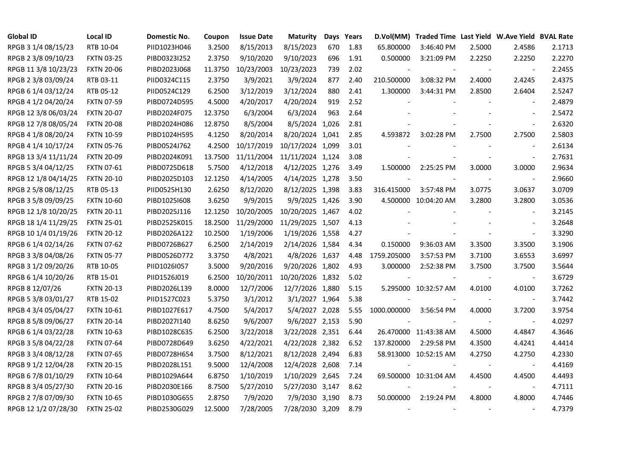| <b>Global ID</b>     | <b>Local ID</b>   | Domestic No. | Coupon  | <b>Issue Date</b> | <b>Maturity</b>  |     | Days Years |             | D.Vol(MM) Traded Time Last Yield W.Ave Yield BVAL Rate |        |                          |        |
|----------------------|-------------------|--------------|---------|-------------------|------------------|-----|------------|-------------|--------------------------------------------------------|--------|--------------------------|--------|
| RPGB 3 1/4 08/15/23  | RTB 10-04         | PIID1023H046 | 3.2500  | 8/15/2013         | 8/15/2023        | 670 | 1.83       | 65.800000   | 3:46:40 PM                                             | 2.5000 | 2.4586                   | 2.1713 |
| RPGB 2 3/8 09/10/23  | <b>FXTN 03-25</b> | PIBD0323I252 | 2.3750  | 9/10/2020         | 9/10/2023        | 696 | 1.91       | 0.500000    | 3:21:09 PM                                             | 2.2250 | 2.2250                   | 2.2270 |
| RPGB 11 3/8 10/23/23 | <b>FXTN 20-06</b> | PIBD2023J068 | 11.3750 | 10/23/2003        | 10/23/2023       | 739 | 2.02       |             |                                                        |        | $\overline{\phantom{a}}$ | 2.2455 |
| RPGB 2 3/8 03/09/24  | RTB 03-11         | PIID0324C115 | 2.3750  | 3/9/2021          | 3/9/2024         | 877 | 2.40       | 210.500000  | 3:08:32 PM                                             | 2.4000 | 2.4245                   | 2.4375 |
| RPGB 6 1/4 03/12/24  | RTB 05-12         | PIID0524C129 | 6.2500  | 3/12/2019         | 3/12/2024        | 880 | 2.41       | 1.300000    | 3:44:31 PM                                             | 2.8500 | 2.6404                   | 2.5247 |
| RPGB 4 1/2 04/20/24  | <b>FXTN 07-59</b> | PIBD0724D595 | 4.5000  | 4/20/2017         | 4/20/2024        | 919 | 2.52       |             |                                                        |        | $\overline{\phantom{a}}$ | 2.4879 |
| RPGB 12 3/8 06/03/24 | <b>FXTN 20-07</b> | PIBD2024F075 | 12.3750 | 6/3/2004          | 6/3/2024         | 963 | 2.64       |             |                                                        |        | $\sim$                   | 2.5472 |
| RPGB 12 7/8 08/05/24 | <b>FXTN 20-08</b> | PIBD2024H086 | 12.8750 | 8/5/2004          | 8/5/2024 1,026   |     | 2.81       |             |                                                        |        | $\blacksquare$           | 2.6320 |
| RPGB 4 1/8 08/20/24  | <b>FXTN 10-59</b> | PIBD1024H595 | 4.1250  | 8/20/2014         | 8/20/2024 1,041  |     | 2.85       | 4.593872    | 3:02:28 PM                                             | 2.7500 | 2.7500                   | 2.5803 |
| RPGB 4 1/4 10/17/24  | <b>FXTN 05-76</b> | PIBD0524J762 | 4.2500  | 10/17/2019        | 10/17/2024 1,099 |     | 3.01       |             |                                                        |        | $\overline{\phantom{a}}$ | 2.6134 |
| RPGB 13 3/4 11/11/24 | <b>FXTN 20-09</b> | PIBD2024K091 | 13.7500 | 11/11/2004        | 11/11/2024 1,124 |     | 3.08       |             |                                                        |        | $\blacksquare$           | 2.7631 |
| RPGB 5 3/4 04/12/25  | <b>FXTN 07-61</b> | PIBD0725D618 | 5.7500  | 4/12/2018         | 4/12/2025 1,276  |     | 3.49       | 1.500000    | 2:25:25 PM                                             | 3.0000 | 3.0000                   | 2.9634 |
| RPGB 12 1/8 04/14/25 | <b>FXTN 20-10</b> | PIBD2025D103 | 12.1250 | 4/14/2005         | 4/14/2025 1,278  |     | 3.50       |             |                                                        |        | $\blacksquare$           | 2.9660 |
| RPGB 2 5/8 08/12/25  | RTB 05-13         | PIID0525H130 | 2.6250  | 8/12/2020         | 8/12/2025 1,398  |     | 3.83       | 316.415000  | 3:57:48 PM                                             | 3.0775 | 3.0637                   | 3.0709 |
| RPGB 3 5/8 09/09/25  | <b>FXTN 10-60</b> | PIBD10251608 | 3.6250  | 9/9/2015          | 9/9/2025 1,426   |     | 3.90       |             | 4.500000 10:04:20 AM                                   | 3.2800 | 3.2800                   | 3.0536 |
| RPGB 12 1/8 10/20/25 | <b>FXTN 20-11</b> | PIBD2025J116 | 12.1250 | 10/20/2005        | 10/20/2025 1,467 |     | 4.02       |             |                                                        |        |                          | 3.2145 |
| RPGB 18 1/4 11/29/25 | <b>FXTN 25-01</b> | PIBD2525K015 | 18.2500 | 11/29/2000        | 11/29/2025 1,507 |     | 4.13       |             |                                                        |        | $\sim$                   | 3.2648 |
| RPGB 10 1/4 01/19/26 | <b>FXTN 20-12</b> | PIBD2026A122 | 10.2500 | 1/19/2006         | 1/19/2026 1,558  |     | 4.27       |             |                                                        |        | $\bar{\phantom{a}}$      | 3.3290 |
| RPGB 6 1/4 02/14/26  | <b>FXTN 07-62</b> | PIBD0726B627 | 6.2500  | 2/14/2019         | 2/14/2026 1,584  |     | 4.34       | 0.150000    | 9:36:03 AM                                             | 3.3500 | 3.3500                   | 3.1906 |
| RPGB 3 3/8 04/08/26  | <b>FXTN 05-77</b> | PIBD0526D772 | 3.3750  | 4/8/2021          | 4/8/2026 1,637   |     | 4.48       | 1759.205000 | 3:57:53 PM                                             | 3.7100 | 3.6553                   | 3.6997 |
| RPGB 3 1/2 09/20/26  | RTB 10-05         | PIID1026I057 | 3.5000  | 9/20/2016         | 9/20/2026 1,802  |     | 4.93       | 3.000000    | 2:52:38 PM                                             | 3.7500 | 3.7500                   | 3.5644 |
| RPGB 6 1/4 10/20/26  | RTB 15-01         | PIID1526J019 | 6.2500  | 10/20/2011        | 10/20/2026 1,832 |     | 5.02       |             |                                                        |        | $\overline{\phantom{a}}$ | 3.6729 |
| RPGB 8 12/07/26      | <b>FXTN 20-13</b> | PIBD2026L139 | 8.0000  | 12/7/2006         | 12/7/2026 1,880  |     | 5.15       |             | 5.295000 10:32:57 AM                                   | 4.0100 | 4.0100                   | 3.7262 |
| RPGB 5 3/8 03/01/27  | RTB 15-02         | PIID1527C023 | 5.3750  | 3/1/2012          | 3/1/2027 1,964   |     | 5.38       |             |                                                        |        | $\overline{\phantom{a}}$ | 3.7442 |
| RPGB 4 3/4 05/04/27  | <b>FXTN 10-61</b> | PIBD1027E617 | 4.7500  | 5/4/2017          | 5/4/2027 2,028   |     | 5.55       | 1000.000000 | 3:56:54 PM                                             | 4.0000 | 3.7200                   | 3.9754 |
| RPGB 8 5/8 09/06/27  | <b>FXTN 20-14</b> | PIBD2027I140 | 8.6250  | 9/6/2007          | 9/6/2027 2,153   |     | 5.90       |             |                                                        |        | $\blacksquare$           | 4.0297 |
| RPGB 6 1/4 03/22/28  | <b>FXTN 10-63</b> | PIBD1028C635 | 6.2500  | 3/22/2018         | 3/22/2028 2,351  |     | 6.44       |             | 26.470000 11:43:38 AM                                  | 4.5000 | 4.4847                   | 4.3646 |
| RPGB 3 5/8 04/22/28  | <b>FXTN 07-64</b> | PIBD0728D649 | 3.6250  | 4/22/2021         | 4/22/2028 2,382  |     | 6.52       | 137.820000  | 2:29:58 PM                                             | 4.3500 | 4.4241                   | 4.4414 |
| RPGB 3 3/4 08/12/28  | <b>FXTN 07-65</b> | PIBD0728H654 | 3.7500  | 8/12/2021         | 8/12/2028 2,494  |     | 6.83       |             | 58.913000 10:52:15 AM                                  | 4.2750 | 4.2750                   | 4.2330 |
| RPGB 9 1/2 12/04/28  | <b>FXTN 20-15</b> | PIBD2028L151 | 9.5000  | 12/4/2008         | 12/4/2028 2,608  |     | 7.14       |             |                                                        |        |                          | 4.4169 |
| RPGB 67/8 01/10/29   | <b>FXTN 10-64</b> | PIBD1029A644 | 6.8750  | 1/10/2019         | 1/10/2029 2,645  |     | 7.24       |             | 69.500000 10:31:04 AM                                  | 4.4500 | 4.4500                   | 4.4493 |
| RPGB 8 3/4 05/27/30  | <b>FXTN 20-16</b> | PIBD2030E166 | 8.7500  | 5/27/2010         | 5/27/2030 3,147  |     | 8.62       |             |                                                        |        | $\blacksquare$           | 4.7111 |
| RPGB 2 7/8 07/09/30  | <b>FXTN 10-65</b> | PIBD1030G655 | 2.8750  | 7/9/2020          | 7/9/2030 3,190   |     | 8.73       | 50.000000   | 2:19:24 PM                                             | 4.8000 | 4.8000                   | 4.7446 |
| RPGB 12 1/2 07/28/30 | <b>FXTN 25-02</b> | PIBD2530G029 | 12.5000 | 7/28/2005         | 7/28/2030 3,209  |     | 8.79       |             |                                                        |        | $\overline{\phantom{a}}$ | 4.7379 |